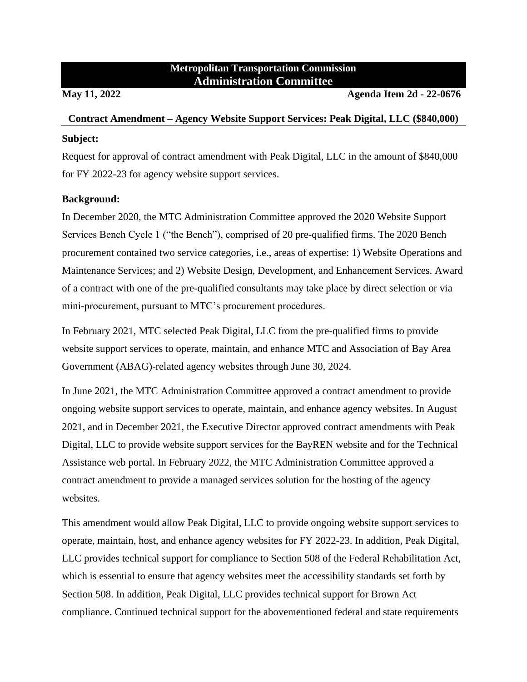## **Metropolitan Transportation Commission Administration Committee**

**May 11, 2022 Agenda Item 2d - 22-0676**

# **Contract Amendment – Agency Website Support Services: Peak Digital, LLC (\$840,000) Subject:**

Request for approval of contract amendment with Peak Digital, LLC in the amount of \$840,000 for FY 2022-23 for agency website support services.

## **Background:**

In December 2020, the MTC Administration Committee approved the 2020 Website Support Services Bench Cycle 1 ("the Bench"), comprised of 20 pre-qualified firms. The 2020 Bench procurement contained two service categories, i.e., areas of expertise: 1) Website Operations and Maintenance Services; and 2) Website Design, Development, and Enhancement Services. Award of a contract with one of the pre-qualified consultants may take place by direct selection or via mini-procurement, pursuant to MTC's procurement procedures.

In February 2021, MTC selected Peak Digital, LLC from the pre-qualified firms to provide website support services to operate, maintain, and enhance MTC and Association of Bay Area Government (ABAG)-related agency websites through June 30, 2024.

In June 2021, the MTC Administration Committee approved a contract amendment to provide ongoing website support services to operate, maintain, and enhance agency websites. In August 2021, and in December 2021, the Executive Director approved contract amendments with Peak Digital, LLC to provide website support services for the BayREN website and for the Technical Assistance web portal. In February 2022, the MTC Administration Committee approved a contract amendment to provide a managed services solution for the hosting of the agency websites.

This amendment would allow Peak Digital, LLC to provide ongoing website support services to operate, maintain, host, and enhance agency websites for FY 2022-23. In addition, Peak Digital, LLC provides technical support for compliance to Section 508 of the Federal Rehabilitation Act, which is essential to ensure that agency websites meet the accessibility standards set forth by Section 508. In addition, Peak Digital, LLC provides technical support for Brown Act compliance. Continued technical support for the abovementioned federal and state requirements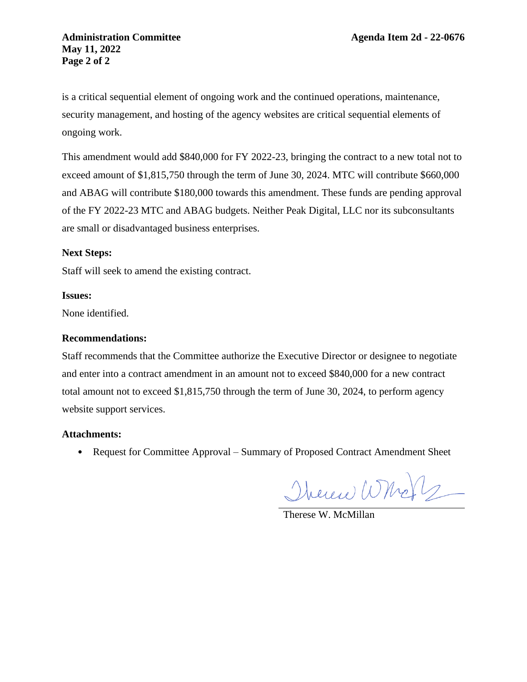is a critical sequential element of ongoing work and the continued operations, maintenance, security management, and hosting of the agency websites are critical sequential elements of ongoing work.

This amendment would add \$840,000 for FY 2022-23, bringing the contract to a new total not to exceed amount of \$1,815,750 through the term of June 30, 2024. MTC will contribute \$660,000 and ABAG will contribute \$180,000 towards this amendment. These funds are pending approval of the FY 2022-23 MTC and ABAG budgets. Neither Peak Digital, LLC nor its subconsultants are small or disadvantaged business enterprises.

### **Next Steps:**

Staff will seek to amend the existing contract.

#### **Issues:**

None identified.

### **Recommendations:**

Staff recommends that the Committee authorize the Executive Director or designee to negotiate and enter into a contract amendment in an amount not to exceed \$840,000 for a new contract total amount not to exceed \$1,815,750 through the term of June 30, 2024, to perform agency website support services.

#### **Attachments:**

• Request for Committee Approval – Summary of Proposed Contract Amendment Sheet

There Who 2

Therese W. McMillan